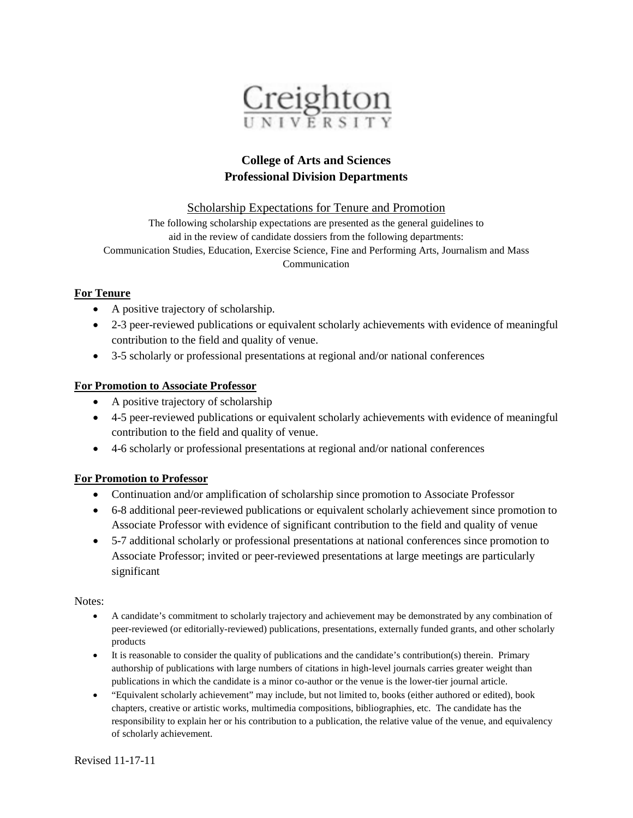

## **College of Arts and Sciences Professional Division Departments**

Scholarship Expectations for Tenure and Promotion

The following scholarship expectations are presented as the general guidelines to aid in the review of candidate dossiers from the following departments: Communication Studies, Education, Exercise Science, Fine and Performing Arts, Journalism and Mass Communication

## **For Tenure**

- A positive trajectory of scholarship.
- 2-3 peer-reviewed publications or equivalent scholarly achievements with evidence of meaningful contribution to the field and quality of venue.
- 3-5 scholarly or professional presentations at regional and/or national conferences

## **For Promotion to Associate Professor**

- A positive trajectory of scholarship
- 4-5 peer-reviewed publications or equivalent scholarly achievements with evidence of meaningful contribution to the field and quality of venue.
- 4-6 scholarly or professional presentations at regional and/or national conferences

## **For Promotion to Professor**

- Continuation and/or amplification of scholarship since promotion to Associate Professor
- 6-8 additional peer-reviewed publications or equivalent scholarly achievement since promotion to Associate Professor with evidence of significant contribution to the field and quality of venue
- 5-7 additional scholarly or professional presentations at national conferences since promotion to Associate Professor; invited or peer-reviewed presentations at large meetings are particularly significant

Notes:

- A candidate's commitment to scholarly trajectory and achievement may be demonstrated by any combination of peer-reviewed (or editorially-reviewed) publications, presentations, externally funded grants, and other scholarly products
- It is reasonable to consider the quality of publications and the candidate's contribution(s) therein. Primary authorship of publications with large numbers of citations in high-level journals carries greater weight than publications in which the candidate is a minor co-author or the venue is the lower-tier journal article.
- "Equivalent scholarly achievement" may include, but not limited to, books (either authored or edited), book chapters, creative or artistic works, multimedia compositions, bibliographies, etc. The candidate has the responsibility to explain her or his contribution to a publication, the relative value of the venue, and equivalency of scholarly achievement.

Revised 11-17-11